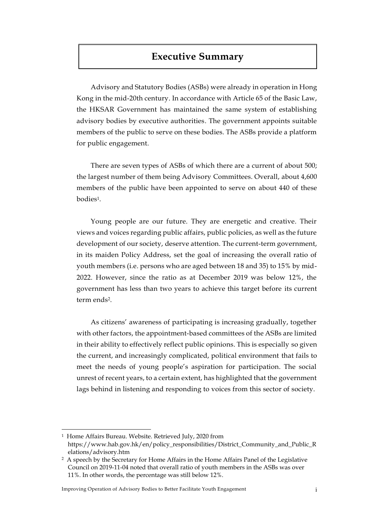## **Executive Summary**

Advisory and Statutory Bodies (ASBs) were already in operation in Hong Kong in the mid-20th century. In accordance with Article 65 of the Basic Law, the HKSAR Government has maintained the same system of establishing advisory bodies by executive authorities. The government appoints suitable members of the public to serve on these bodies. The ASBs provide a platform for public engagement.

There are seven types of ASBs of which there are a current of about 500; the largest number of them being Advisory Committees. Overall, about 4,600 members of the public have been appointed to serve on about 440 of these bodies1.

Young people are our future. They are energetic and creative. Their views and voices regarding public affairs, public policies, as well as the future development of our society, deserve attention. The current-term government, in its maiden Policy Address, set the goal of increasing the overall ratio of youth members (i.e. persons who are aged between 18 and 35) to 15% by mid-2022. However, since the ratio as at December 2019 was below 12%, the government has less than two years to achieve this target before its current term ends2.

As citizens' awareness of participating is increasing gradually, together with other factors, the appointment-based committees of the ASBs are limited in their ability to effectively reflect public opinions. This is especially so given the current, and increasingly complicated, political environment that fails to meet the needs of young people's aspiration for participation. The social unrest of recent years, to a certain extent, has highlighted that the government lags behind in listening and responding to voices from this sector of society.

 $\overline{a}$ 

Improving Operation of Advisory Bodies to Better Facilitate Youth Engagement i

<sup>&</sup>lt;sup>1</sup> Home Affairs Bureau. Website. Retrieved July, 2020 from

https://www.hab.gov.hk/en/policy\_responsibilities/District\_Community\_and\_Public\_R elations/advisory.htm

<sup>2</sup> A speech by the Secretary for Home Affairs in the Home Affairs Panel of the Legislative Council on 2019-11-04 noted that overall ratio of youth members in the ASBs was over 11%. In other words, the percentage was still below 12%.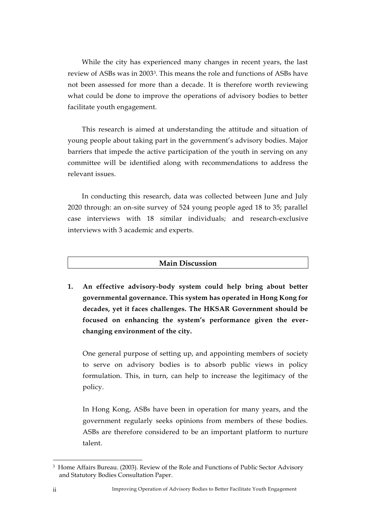While the city has experienced many changes in recent years, the last review of ASBs was in 20033. This means the role and functions of ASBs have not been assessed for more than a decade. It is therefore worth reviewing what could be done to improve the operations of advisory bodies to better facilitate youth engagement.

This research is aimed at understanding the attitude and situation of young people about taking part in the government's advisory bodies. Major barriers that impede the active participation of the youth in serving on any committee will be identified along with recommendations to address the relevant issues.

In conducting this research, data was collected between June and July 2020 through: an on-site survey of 524 young people aged 18 to 35; parallel case interviews with 18 similar individuals; and research-exclusive interviews with 3 academic and experts.

## **Main Discussion**

**1. An effective advisory-body system could help bring about better governmental governance. This system has operated in Hong Kong for decades, yet it faces challenges. The HKSAR Government should be focused on enhancing the system's performance given the everchanging environment of the city.** 

One general purpose of setting up, and appointing members of society to serve on advisory bodies is to absorb public views in policy formulation. This, in turn, can help to increase the legitimacy of the policy.

In Hong Kong, ASBs have been in operation for many years, and the government regularly seeks opinions from members of these bodies. ASBs are therefore considered to be an important platform to nurture talent.

<u>.</u>

<sup>3</sup> Home Affairs Bureau. (2003). Review of the Role and Functions of Public Sector Advisory and Statutory Bodies Consultation Paper.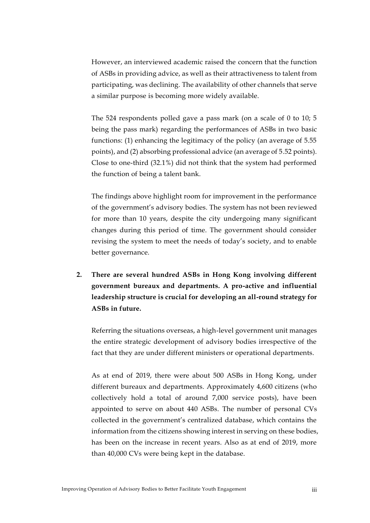However, an interviewed academic raised the concern that the function of ASBs in providing advice, as well as their attractiveness to talent from participating, was declining. The availability of other channels that serve a similar purpose is becoming more widely available.

The 524 respondents polled gave a pass mark (on a scale of 0 to 10; 5 being the pass mark) regarding the performances of ASBs in two basic functions: (1) enhancing the legitimacy of the policy (an average of 5.55 points), and (2) absorbing professional advice (an average of 5.52 points). Close to one-third (32.1%) did not think that the system had performed the function of being a talent bank.

The findings above highlight room for improvement in the performance of the government's advisory bodies. The system has not been reviewed for more than 10 years, despite the city undergoing many significant changes during this period of time. The government should consider revising the system to meet the needs of today's society, and to enable better governance.

**2. There are several hundred ASBs in Hong Kong involving different government bureaux and departments. A pro-active and influential leadership structure is crucial for developing an all-round strategy for ASBs in future.** 

Referring the situations overseas, a high-level government unit manages the entire strategic development of advisory bodies irrespective of the fact that they are under different ministers or operational departments.

As at end of 2019, there were about 500 ASBs in Hong Kong, under different bureaux and departments. Approximately 4,600 citizens (who collectively hold a total of around 7,000 service posts), have been appointed to serve on about 440 ASBs. The number of personal CVs collected in the government's centralized database, which contains the information from the citizens showing interest in serving on these bodies, has been on the increase in recent years. Also as at end of 2019, more than 40,000 CVs were being kept in the database.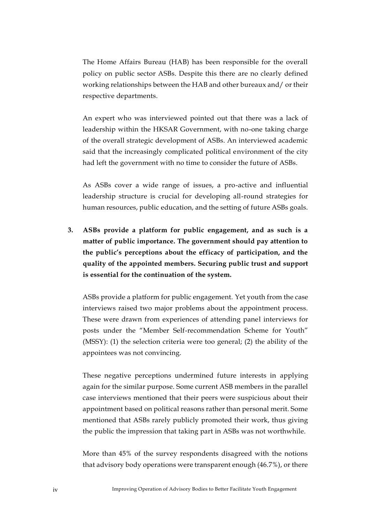The Home Affairs Bureau (HAB) has been responsible for the overall policy on public sector ASBs. Despite this there are no clearly defined working relationships between the HAB and other bureaux and/ or their respective departments.

An expert who was interviewed pointed out that there was a lack of leadership within the HKSAR Government, with no-one taking charge of the overall strategic development of ASBs. An interviewed academic said that the increasingly complicated political environment of the city had left the government with no time to consider the future of ASBs.

As ASBs cover a wide range of issues, a pro-active and influential leadership structure is crucial for developing all-round strategies for human resources, public education, and the setting of future ASBs goals.

**3. ASBs provide a platform for public engagement, and as such is a matter of public importance. The government should pay attention to the public's perceptions about the efficacy of participation, and the quality of the appointed members. Securing public trust and support is essential for the continuation of the system.** 

ASBs provide a platform for public engagement. Yet youth from the case interviews raised two major problems about the appointment process. These were drawn from experiences of attending panel interviews for posts under the "Member Self-recommendation Scheme for Youth" (MSSY): (1) the selection criteria were too general; (2) the ability of the appointees was not convincing.

These negative perceptions undermined future interests in applying again for the similar purpose. Some current ASB members in the parallel case interviews mentioned that their peers were suspicious about their appointment based on political reasons rather than personal merit. Some mentioned that ASBs rarely publicly promoted their work, thus giving the public the impression that taking part in ASBs was not worthwhile.

More than 45% of the survey respondents disagreed with the notions that advisory body operations were transparent enough (46.7%), or there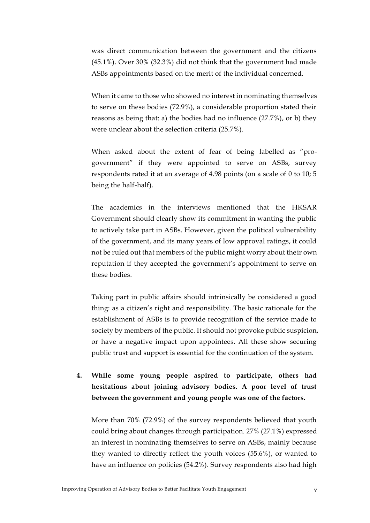was direct communication between the government and the citizens (45.1%). Over 30% (32.3%) did not think that the government had made ASBs appointments based on the merit of the individual concerned.

When it came to those who showed no interest in nominating themselves to serve on these bodies (72.9%), a considerable proportion stated their reasons as being that: a) the bodies had no influence (27.7%), or b) they were unclear about the selection criteria (25.7%).

When asked about the extent of fear of being labelled as "progovernment" if they were appointed to serve on ASBs, survey respondents rated it at an average of 4.98 points (on a scale of 0 to 10; 5 being the half-half).

The academics in the interviews mentioned that the HKSAR Government should clearly show its commitment in wanting the public to actively take part in ASBs. However, given the political vulnerability of the government, and its many years of low approval ratings, it could not be ruled out that members of the public might worry about their own reputation if they accepted the government's appointment to serve on these bodies.

Taking part in public affairs should intrinsically be considered a good thing: as a citizen's right and responsibility. The basic rationale for the establishment of ASBs is to provide recognition of the service made to society by members of the public. It should not provoke public suspicion, or have a negative impact upon appointees. All these show securing public trust and support is essential for the continuation of the system.

## **4. While some young people aspired to participate, others had hesitations about joining advisory bodies. A poor level of trust between the government and young people was one of the factors.**

More than 70% (72.9%) of the survey respondents believed that youth could bring about changes through participation. 27% (27.1%) expressed an interest in nominating themselves to serve on ASBs, mainly because they wanted to directly reflect the youth voices (55.6%), or wanted to have an influence on policies (54.2%). Survey respondents also had high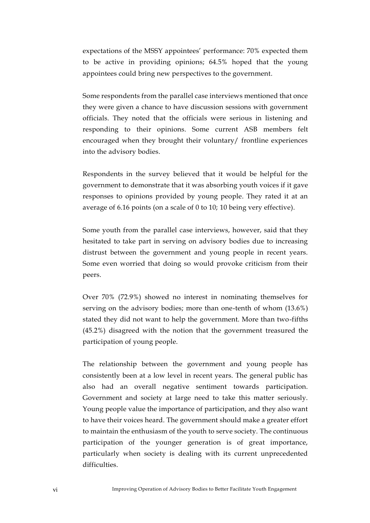expectations of the MSSY appointees' performance: 70% expected them to be active in providing opinions; 64.5% hoped that the young appointees could bring new perspectives to the government.

Some respondents from the parallel case interviews mentioned that once they were given a chance to have discussion sessions with government officials. They noted that the officials were serious in listening and responding to their opinions. Some current ASB members felt encouraged when they brought their voluntary/ frontline experiences into the advisory bodies.

Respondents in the survey believed that it would be helpful for the government to demonstrate that it was absorbing youth voices if it gave responses to opinions provided by young people. They rated it at an average of 6.16 points (on a scale of 0 to 10; 10 being very effective).

Some youth from the parallel case interviews, however, said that they hesitated to take part in serving on advisory bodies due to increasing distrust between the government and young people in recent years. Some even worried that doing so would provoke criticism from their peers.

Over 70% (72.9%) showed no interest in nominating themselves for serving on the advisory bodies; more than one-tenth of whom (13.6%) stated they did not want to help the government. More than two-fifths (45.2%) disagreed with the notion that the government treasured the participation of young people.

The relationship between the government and young people has consistently been at a low level in recent years. The general public has also had an overall negative sentiment towards participation. Government and society at large need to take this matter seriously. Young people value the importance of participation, and they also want to have their voices heard. The government should make a greater effort to maintain the enthusiasm of the youth to serve society. The continuous participation of the younger generation is of great importance, particularly when society is dealing with its current unprecedented difficulties.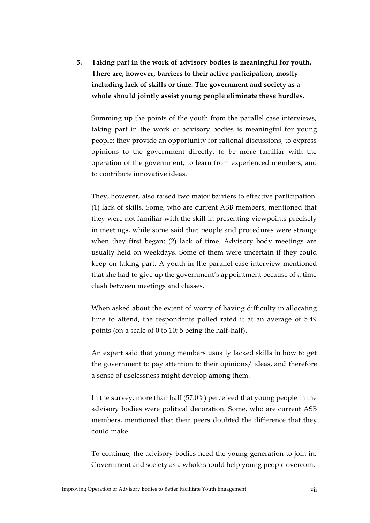**5. Taking part in the work of advisory bodies is meaningful for youth. There are, however, barriers to their active participation, mostly including lack of skills or time. The government and society as a whole should jointly assist young people eliminate these hurdles.** 

Summing up the points of the youth from the parallel case interviews, taking part in the work of advisory bodies is meaningful for young people: they provide an opportunity for rational discussions, to express opinions to the government directly, to be more familiar with the operation of the government, to learn from experienced members, and to contribute innovative ideas.

They, however, also raised two major barriers to effective participation: (1) lack of skills. Some, who are current ASB members, mentioned that they were not familiar with the skill in presenting viewpoints precisely in meetings, while some said that people and procedures were strange when they first began; (2) lack of time. Advisory body meetings are usually held on weekdays. Some of them were uncertain if they could keep on taking part. A youth in the parallel case interview mentioned that she had to give up the government's appointment because of a time clash between meetings and classes.

When asked about the extent of worry of having difficulty in allocating time to attend, the respondents polled rated it at an average of 5.49 points (on a scale of 0 to 10; 5 being the half-half).

An expert said that young members usually lacked skills in how to get the government to pay attention to their opinions/ ideas, and therefore a sense of uselessness might develop among them.

In the survey, more than half (57.0%) perceived that young people in the advisory bodies were political decoration. Some, who are current ASB members, mentioned that their peers doubted the difference that they could make.

To continue, the advisory bodies need the young generation to join in. Government and society as a whole should help young people overcome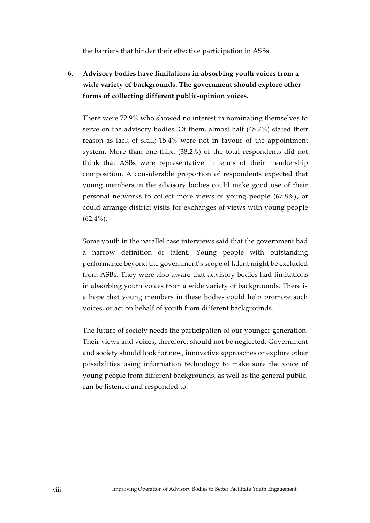the barriers that hinder their effective participation in ASBs.

**6. Advisory bodies have limitations in absorbing youth voices from a wide variety of backgrounds. The government should explore other forms of collecting different public-opinion voices.** 

There were 72.9% who showed no interest in nominating themselves to serve on the advisory bodies. Of them, almost half (48.7%) stated their reason as lack of skill; 15.4% were not in favour of the appointment system. More than one-third (38.2%) of the total respondents did not think that ASBs were representative in terms of their membership composition. A considerable proportion of respondents expected that young members in the advisory bodies could make good use of their personal networks to collect more views of young people (67.8%), or could arrange district visits for exchanges of views with young people  $(62.4\%)$ .

Some youth in the parallel case interviews said that the government had a narrow definition of talent. Young people with outstanding performance beyond the government's scope of talent might be excluded from ASBs. They were also aware that advisory bodies had limitations in absorbing youth voices from a wide variety of backgrounds. There is a hope that young members in these bodies could help promote such voices, or act on behalf of youth from different backgrounds.

The future of society needs the participation of our younger generation. Their views and voices, therefore, should not be neglected. Government and society should look for new, innovative approaches or explore other possibilities using information technology to make sure the voice of young people from different backgrounds, as well as the general public, can be listened and responded to.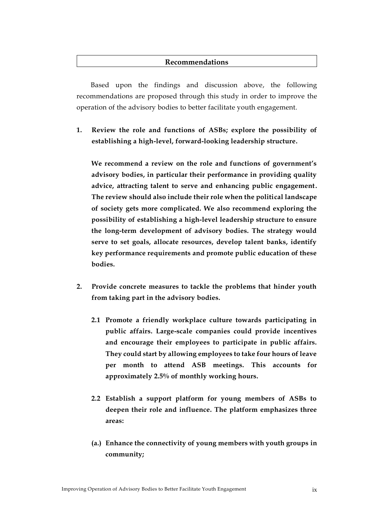## **Recommendations**

Based upon the findings and discussion above, the following recommendations are proposed through this study in order to improve the operation of the advisory bodies to better facilitate youth engagement.

**1. Review the role and functions of ASBs; explore the possibility of establishing a high-level, forward-looking leadership structure.**

**We recommend a review on the role and functions of government's advisory bodies, in particular their performance in providing quality advice, attracting talent to serve and enhancing public engagement. The review should also include their role when the political landscape of society gets more complicated. We also recommend exploring the possibility of establishing a high-level leadership structure to ensure the long-term development of advisory bodies. The strategy would serve to set goals, allocate resources, develop talent banks, identify key performance requirements and promote public education of these bodies.** 

- **2. Provide concrete measures to tackle the problems that hinder youth from taking part in the advisory bodies.** 
	- **2.1 Promote a friendly workplace culture towards participating in public affairs. Large-scale companies could provide incentives and encourage their employees to participate in public affairs. They could start by allowing employees to take four hours of leave per month to attend ASB meetings. This accounts for approximately 2.5% of monthly working hours.**
	- **2.2 Establish a support platform for young members of ASBs to deepen their role and influence. The platform emphasizes three areas:**
	- **(a.) Enhance the connectivity of young members with youth groups in community;**